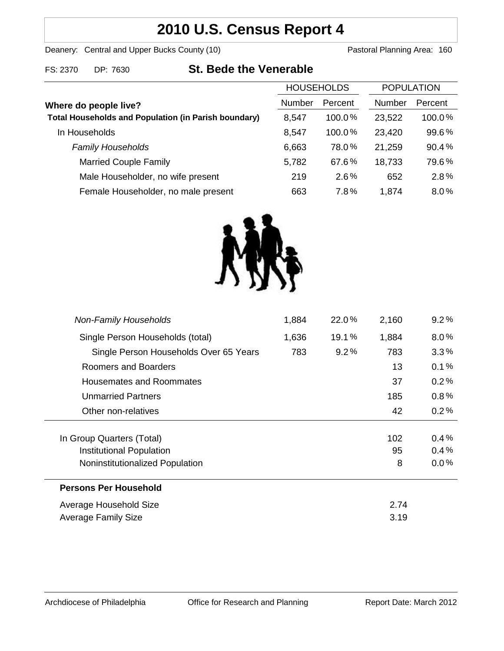# **2010 U.S. Census Report 4**

Deanery: Central and Upper Bucks County (10) Deanery: Central and Upper Bucks County (10)

FS: 2370 DP: 7630 **St. Bede the Venerable**

| <b>HOUSEHOLDS</b> |           | <b>POPULATION</b> |         |
|-------------------|-----------|-------------------|---------|
| Number            | Percent   | Number            | Percent |
| 8,547             | $100.0\%$ | 23,522            | 100.0%  |
| 8,547             | $100.0\%$ | 23,420            | 99.6%   |
| 6,663             | 78.0%     | 21,259            | 90.4%   |
| 5,782             | 67.6%     | 18,733            | 79.6%   |
| 219               | 2.6%      | 652               | 2.8%    |
| 663               | 7.8%      | 1,874             | 8.0%    |
|                   |           |                   |         |



| <b>Non-Family Households</b>           | 1,884 | 22.0%   | 2,160 | $9.2\%$ |
|----------------------------------------|-------|---------|-------|---------|
| Single Person Households (total)       | 1,636 | 19.1%   | 1,884 | $8.0\%$ |
| Single Person Households Over 65 Years | 783   | $9.2\%$ | 783   | $3.3\%$ |
| Roomers and Boarders                   |       |         | 13    | 0.1%    |
| Housemates and Roommates               |       |         | 37    | 0.2%    |
| Unmarried Partners                     |       |         | 185   | 0.8%    |
| Other non-relatives                    |       |         | 42    | 0.2%    |
|                                        |       |         |       |         |
| In Group Quarters (Total)              |       |         | 102   | $0.4\%$ |
| Institutional Population               |       |         | 95    | 0.4%    |
| Noninstitutionalized Population        |       |         | 8     | $0.0\%$ |
| <b>Persons Per Household</b>           |       |         |       |         |
| Average Household Size                 |       |         | 2.74  |         |
| <b>Average Family Size</b>             |       |         | 3.19  |         |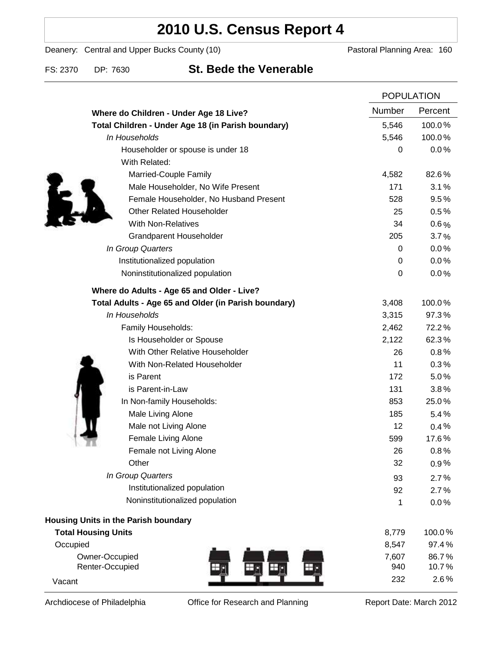## **2010 U.S. Census Report 4**

Deanery: Central and Upper Bucks County (10) Deanery: Central and Upper Bucks County (10)

### FS: 2370 DP: 7630 **St. Bede the Venerable**

|                                                      |                  | <b>POPULATION</b> |  |
|------------------------------------------------------|------------------|-------------------|--|
| Where do Children - Under Age 18 Live?               | Number           | Percent           |  |
| Total Children - Under Age 18 (in Parish boundary)   | 5,546            | 100.0%            |  |
| In Households                                        | 5,546            | 100.0%            |  |
| Householder or spouse is under 18                    | 0                | 0.0%              |  |
| With Related:                                        |                  |                   |  |
| Married-Couple Family                                | 4,582            | 82.6%             |  |
| Male Householder, No Wife Present                    | 171              | 3.1%              |  |
| Female Householder, No Husband Present               | 528              | 9.5%              |  |
| <b>Other Related Householder</b>                     | 25               | 0.5%              |  |
| <b>With Non-Relatives</b>                            | 34               | $0.6\%$           |  |
| <b>Grandparent Householder</b>                       | 205              | 3.7%              |  |
| In Group Quarters                                    | 0                | 0.0%              |  |
| Institutionalized population                         | 0                | 0.0%              |  |
| Noninstitutionalized population                      | $\boldsymbol{0}$ | 0.0%              |  |
| Where do Adults - Age 65 and Older - Live?           |                  |                   |  |
| Total Adults - Age 65 and Older (in Parish boundary) | 3,408            | 100.0%            |  |
| In Households                                        | 3,315            | 97.3%             |  |
| Family Households:                                   | 2,462            | 72.2%             |  |
| Is Householder or Spouse                             | 2,122            | 62.3%             |  |
| With Other Relative Householder                      | 26               | 0.8%              |  |
| With Non-Related Householder                         | 11               | 0.3%              |  |
| is Parent                                            | 172              | 5.0%              |  |
| is Parent-in-Law                                     | 131              | 3.8%              |  |
| In Non-family Households:                            | 853              | 25.0%             |  |
| Male Living Alone                                    | 185              | 5.4%              |  |
| Male not Living Alone                                | 12               | $0.4\%$           |  |
| Female Living Alone                                  | 599              | 17.6%             |  |
| Female not Living Alone                              | 26               | 0.8%              |  |
| Other                                                | 32               | 0.9%              |  |
| In Group Quarters                                    | 93               | 2.7%              |  |
| Institutionalized population                         | 92               | 2.7%              |  |
| Noninstitutionalized population                      | 1                | 0.0%              |  |
| Housing Units in the Parish boundary                 |                  |                   |  |
| <b>Total Housing Units</b>                           | 8,779            | 100.0%            |  |
| Occupied                                             | 8,547            | 97.4%             |  |
| Owner-Occupied                                       | 7,607            | 86.7%             |  |
| Renter-Occupied<br>Vacant                            | 940<br>232       | 10.7%<br>2.6%     |  |
|                                                      |                  |                   |  |

Archdiocese of Philadelphia **Office for Research and Planning** Report Date: March 2012